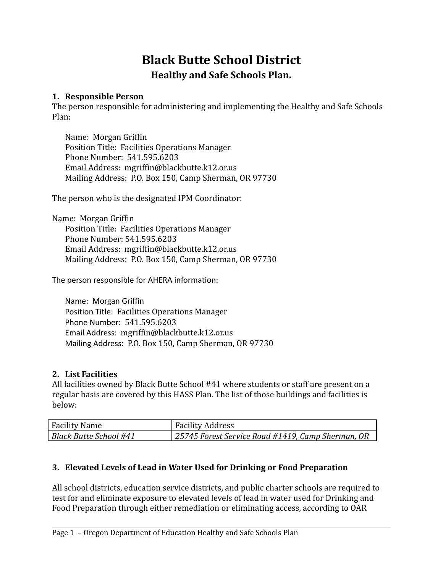# **Black Butte School District Healthy and Safe Schools Plan.**

#### **1. Responsible Person**

The person responsible for administering and implementing the Healthy and Safe Schools Plan:

Name: Morgan Griffin Position Title: Facilities Operations Manager Phone Number: 541.595.6203 Email Address: mgriffin@blackbutte.k12.or.us Mailing Address: P.O. Box 150, Camp Sherman, OR 97730

The person who is the designated IPM Coordinator:

Name: Morgan Griffin Position Title: Facilities Operations Manager Phone Number: 541.595.6203 Email Address: mgriffin@blackbutte.k12.or.us Mailing Address: P.O. Box 150, Camp Sherman, OR 97730

The person responsible for AHERA information:

Name: Morgan Griffin Position Title: Facilities Operations Manager Phone Number: 541.595.6203 Email Address: mgriffin@blackbutte.k12.or.us Mailing Address: P.O. Box 150, Camp Sherman, OR 97730

#### **2. List Facilities**

All facilities owned by Black Butte School #41 where students or staff are present on a regular basis are covered by this HASS Plan. The list of those buildings and facilities is below:

| <b>Facility Name</b>   | <b>Facility Address</b>                           |
|------------------------|---------------------------------------------------|
| Black Butte School #41 | 25745 Forest Service Road #1419, Camp Sherman, OR |

## **3. Elevated Levels of Lead in Water Used for Drinking or Food Preparation**

All school districts, education service districts, and public charter schools are required to test for and eliminate exposure to elevated levels of lead in water used for Drinking and Food Preparation through either remediation or eliminating access, according to OAR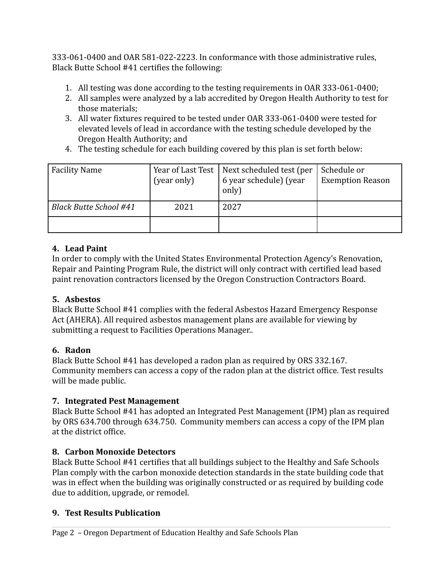333-061-0400 and OAR 581-022-2223. In conformance with those administrative rules, Black Butte School #41 certifies the following:

- 1. All testing was done according to the testing requirements in OAR 333-061-0400;
- 2. All samples were analyzed by a lab accredited by Oregon Health Authority to test for those materials;
- 3. All water fixtures required to be tested under OAR 333-061-0400 were tested for elevated levels of lead in accordance with the testing schedule developed by the Oregon Health Authority; and
- 4. The testing schedule for each building covered by this plan is set forth below:

| <b>Facility Name</b>          | Year of Last Test  <br>(year only) | Next scheduled test (per<br>6 year schedule) (year<br>only) | Schedule or<br><b>Exemption Reason</b> |
|-------------------------------|------------------------------------|-------------------------------------------------------------|----------------------------------------|
| <b>Black Butte School #41</b> | 2021                               | 2027                                                        |                                        |
|                               |                                    |                                                             |                                        |

## **4. Lead Paint**

In order to comply with the United States Environmental Protection Agency's Renovation, Repair and Painting Program Rule, the district will only contract with certified lead based paint renovation contractors licensed by the Oregon Construction Contractors Board.

## **5. Asbestos**

Black Butte School #41 complies with the federal Asbestos Hazard Emergency Response Act (AHERA). All required asbestos management plans are available for viewing by submitting a request to Facilities Operations Manager..

## **6. Radon**

Black Butte School #41 has developed a radon plan as required by ORS 332.167. Community members can access a copy of the radon plan at the district office. Test results will be made public.

## **7. Integrated Pest Management**

Black Butte School #41 has adopted an Integrated Pest Management (IPM) plan as required by ORS 634.700 through 634.750. Community members can access a copy of the IPM plan at the district office.

## **8. Carbon Monoxide Detectors**

Black Butte School #41 certifies that all buildings subject to the Healthy and Safe Schools Plan comply with the carbon monoxide detection standards in the state building code that was in effect when the building was originally constructed or as required by building code due to addition, upgrade, or remodel.

#### **9. Test Results Publication**